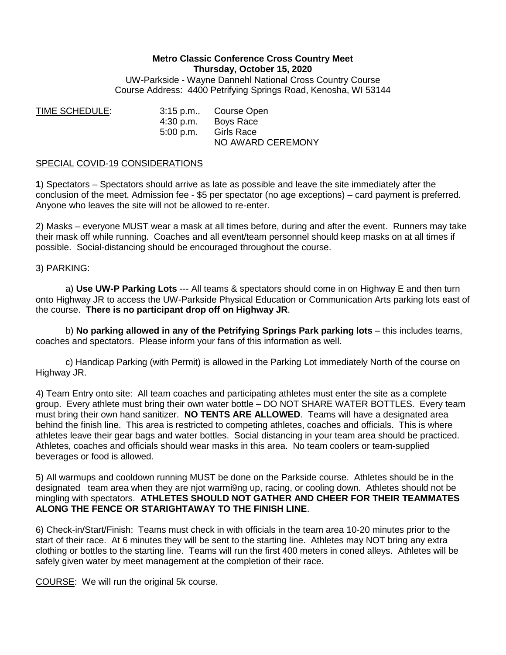## **Metro Classic Conference Cross Country Meet Thursday, October 15, 2020**

UW-Parkside - Wayne Dannehl National Cross Country Course Course Address: 4400 Petrifying Springs Road, Kenosha, WI 53144

TIME SCHEDULE: 3:15 p.m.. Course Open 4:30 p.m. Boys Race 5:00 p.m. Girls Race NO AWARD CEREMONY

## SPECIAL COVID-19 CONSIDERATIONS

**1**) Spectators – Spectators should arrive as late as possible and leave the site immediately after the conclusion of the meet. Admission fee - \$5 per spectator (no age exceptions) – card payment is preferred. Anyone who leaves the site will not be allowed to re-enter.

2) Masks – everyone MUST wear a mask at all times before, during and after the event. Runners may take their mask off while running. Coaches and all event/team personnel should keep masks on at all times if possible. Social-distancing should be encouraged throughout the course.

## 3) PARKING:

a) **Use UW-P Parking Lots** --- All teams & spectators should come in on Highway E and then turn onto Highway JR to access the UW-Parkside Physical Education or Communication Arts parking lots east of the course. **There is no participant drop off on Highway JR**.

b) **No parking allowed in any of the Petrifying Springs Park parking lots** – this includes teams, coaches and spectators. Please inform your fans of this information as well.

c) Handicap Parking (with Permit) is allowed in the Parking Lot immediately North of the course on Highway JR.

4) Team Entry onto site: All team coaches and participating athletes must enter the site as a complete group. Every athlete must bring their own water bottle – DO NOT SHARE WATER BOTTLES. Every team must bring their own hand sanitizer. **NO TENTS ARE ALLOWED**. Teams will have a designated area behind the finish line. This area is restricted to competing athletes, coaches and officials. This is where athletes leave their gear bags and water bottles. Social distancing in your team area should be practiced. Athletes, coaches and officials should wear masks in this area. No team coolers or team-supplied beverages or food is allowed.

5) All warmups and cooldown running MUST be done on the Parkside course. Athletes should be in the designated team area when they are njot warmi9ng up, racing, or cooling down. Athletes should not be mingling with spectators. **ATHLETES SHOULD NOT GATHER AND CHEER FOR THEIR TEAMMATES ALONG THE FENCE OR STARIGHTAWAY TO THE FINISH LINE**.

6) Check-in/Start/Finish: Teams must check in with officials in the team area 10-20 minutes prior to the start of their race. At 6 minutes they will be sent to the starting line. Athletes may NOT bring any extra clothing or bottles to the starting line. Teams will run the first 400 meters in coned alleys. Athletes will be safely given water by meet management at the completion of their race.

COURSE: We will run the original 5k course.